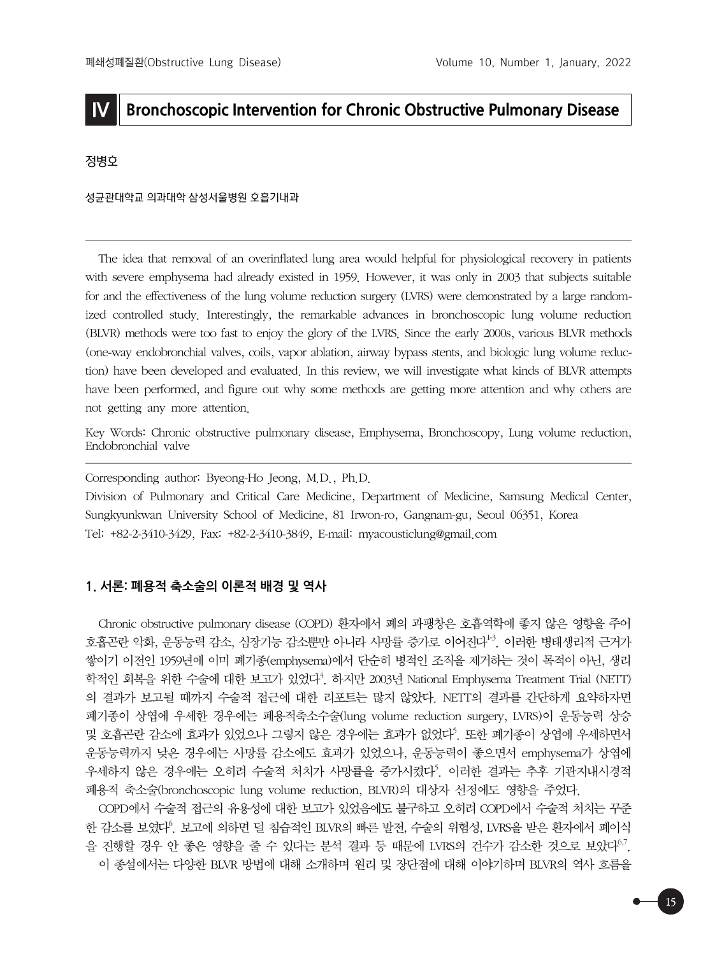# **IV Bronchoscopic Intervention for Chronic Obstructive Pulmonary Disease**

### 정병호

#### 성균관대학교 의과대학 삼성서울병원 호흡기내과

The idea that removal of an overinflated lung area would helpful for physiological recovery in patients with severe emphysema had already existed in 1959. However, it was only in 2003 that subjects suitable for and the effectiveness of the lung volume reduction surgery (LVRS) were demonstrated by a large randomized controlled study. Interestingly, the remarkable advances in bronchoscopic lung volume reduction (BLVR) methods were too fast to enjoy the glory of the LVRS. Since the early 2000s, various BLVR methods (one-way endobronchial valves, coils, vapor ablation, airway bypass stents, and biologic lung volume reduction) have been developed and evaluated. In this review, we will investigate what kinds of BLVR attempts have been performed, and figure out why some methods are getting more attention and why others are not getting any more attention.

Key Words: Chronic obstructive pulmonary disease, Emphysema, Bronchoscopy, Lung volume reduction, Endobronchial valve

Corresponding author: Byeong-Ho Jeong, M.D., Ph.D.

Division of Pulmonary and Critical Care Medicine, Department of Medicine, Samsung Medical Center, Sungkyunkwan University School of Medicine, 81 Irwon-ro, Gangnam-gu, Seoul 06351, Korea Tel: +82-2-3410-3429, Fax: +82-2-3410-3849, E-mail: myacousticlung@gmail.com

#### **1. 서론: 폐용적 축소술의 이론적 배경 및 역사**

Chronic obstructive pulmonary disease (COPD) 환자에서 폐의 과팽창은 호흡역학에 좋지 않은 영향을 주어 호흡곤란 악화, 운동능력 감소, 심장기능 감소뿐만 아니라 사망률 증가로 이어진다<sup>13</sup>. 이러한 병태생리적 근거가 쌓이기 이전인 1959년에 이미 폐기종(emphysema)에서 단순히 병적인 조직을 제거하는 것이 목적이 아닌, 생리 학적인 회복을 위한 수술에 대한 보고가 있었다<sup>4</sup>. 하지만 2003년 National Emphysema Treatment Trial (NETT) 의 결과가 보고될 때까지 수술적 접근에 대한 리포트는 많지 않았다. NETT의 결과를 간단하게 요약하자면 폐기종이 상엽에 우세한 경우에는 폐용적축소수술(lung volume reduction surgery, LVRS)이 운동능력 상승 및 호흡곤란 감소에 효과가 있었으나 그렇지 않은 경우에는 효과가 없었다<sup>5</sup>. 또한 폐기종이 상엽에 우세하면서 운동능력까지 낮은 경우에는 사망률 감소에도 효과가 있었으나, 운동능력이 좋으면서 emphysema가 상엽에 우세하지 않은 경우에는 오히려 수술적 처치가 사망률을 증가시켰다<sup>5</sup>. 이러한 결과는 추후 기관지내시경적 폐용적 축소술(bronchoscopic lung volume reduction, BLVR)의 대상자 선정에도 영향을 주었다.

COPD에서 수술적 접근의 유용성에 대한 보고가 있었음에도 불구하고 오히려 COPD에서 수술적 처치는 꾸준 한 감소를 보였다<sup>6</sup>. 보고에 의하면 덜 침습적인 BLVR의 빠른 발전, 수술의 위험성, LVRS을 받은 환자에서 폐이식 을 진행할 경우 안 좋은 영향을 줄 수 있다는 분석 결과 등 때문에 LVRS의 건수가 감소한 것으로 보았다<sup>6,7</sup>. 이 종설에서는 다양한 BLVR 방법에 대해 소개하며 원리 및 장단점에 대해 이야기하며 BLVR의 역사 흐름을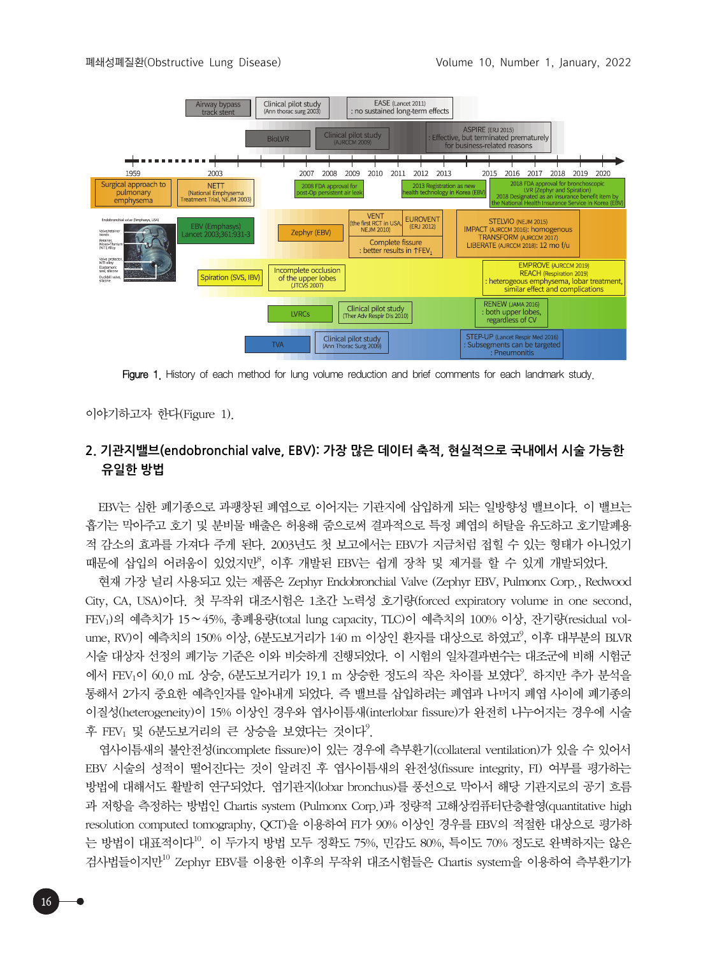

Figure 1. History of each method for lung volume reduction and brief comments for each landmark study.

이야기하고자 한다(Figure 1).

16

## **2. 기관지밸브(endobronchial valve, EBV): 가장 많은 데이터 축적, 현실적으로 국내에서 시술 가능한 유일한 방법**

EBV는 심한 폐기종으로 과팽창된 폐엽으로 이어지는 기관지에 삽입하게 되는 일방향성 밸브이다. 이 밸브는 흡기는 막아주고 호기 및 분비물 배출은 허용해 줌으로써 결과적으로 특정 폐엽의 허탈을 유도하고 호기말폐용 적 감소의 효과를 가져다 주게 된다. 2003년도 첫 보고에서는 EBV가 지금처럼 접힐 수 있는 형태가 아니었기 때문에 삽입의 어려움이 있었지만<sup>8</sup>, 이후 개발된 EBV는 쉽게 장착 및 제거를 할 수 있게 개발되었다.

현재 가장 널리 사용되고 있는 제품은 Zephyr Endobronchial Valve (Zephyr EBV, Pulmonx Corp., Redwood City, CA, USA)이다. 첫 무작위 대조시험은 1초간 노력성 호기량(forced expiratory volume in one second, FEV1)의 예측치가 15∼45%, 총폐용량(total lung capacity, TLC)이 예측치의 100% 이상, 잔기량(residual volume, RV)이 예측치의 150% 이상, 6분도보거리가 140 m 이상인 환자를 대상으로 하였고<sup>9</sup>, 이후 대부분의 BLVR 시술 대상자 선정의 폐기능 기준은 이와 비슷하게 진행되었다. 이 시험의 일차결과변수는 대조군에 비해 시험군 에서 FEV1이 60.0 mL 상승, 6분도보거리가 19.1 m 상승한 정도의 작은 차이를 보였다<sup>9</sup>. 하지만 추가 분석을 통해서 2가지 중요한 예측인자를 알아내게 되었다. 즉 밸브를 삽입하려는 폐엽과 나머지 폐엽 사이에 폐기종의 이질성(heterogeneity)이 15% 이상인 경우와 엽사이틈새(interlobar fissure)가 완전히 나누어지는 경우에 시술 후 FEV1 및 6분도보거리의 큰 상승을 보였다는 것이다<sup>9</sup>.

엽사이틈새의 불안전성(incomplete fissure)이 있는 경우에 측부환기(collateral ventilation)가 있을 수 있어서 EBV 시술의 성적이 떨어진다는 것이 알려진 후 엽사이틈새의 완전성(fissure integrity, FI) 여부를 평가하는 방법에 대해서도 활발히 연구되었다. 엽기관지(lobar bronchus)를 풍선으로 막아서 해당 기관지로의 공기 흐름 과 저항을 측정하는 방법인 Chartis system (Pulmonx Corp.)과 정량적 고해상컴퓨터단층촬영(quantitative high resolution computed tomography, QCT)을 이용하여 FI가 90% 이상인 경우를 EBV의 적절한 대상으로 평가하 는 방법이 대표적이다10. 이 두가지 방법 모두 정확도 75%, 민감도 80%, 특이도 70% 정도로 완벽하지는 않은 검사법들이지만10 Zephyr EBV를 이용한 이후의 무작위 대조시험들은 Chartis system을 이용하여 측부환기가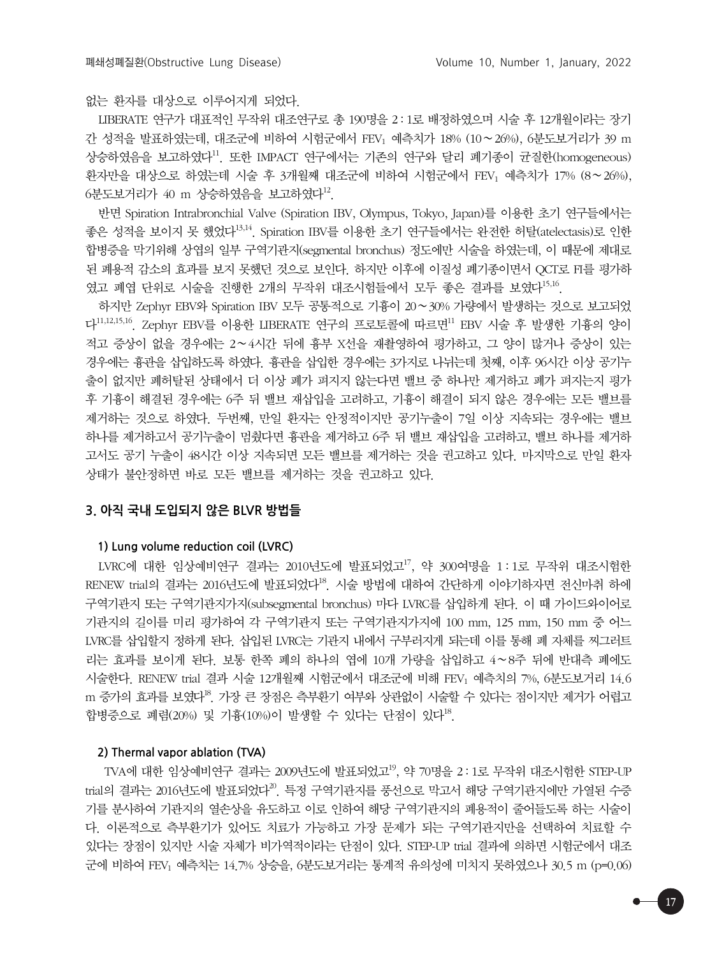없는 환자를 대상으로 이루어지게 되었다.

LIBERATE 연구가 대표적인 무작위 대조연구로 총 190명을 2 : 1로 배정하였으며 시술 후 12개월이라는 장기 간 성적을 발표하였는데, 대조군에 비하여 시험군에서 FEV1 예측치가 18% (10∼26%), 6분도보거리가 39 m 상승하였음을 보고하였다 $^{11}$ . 또한 IMPACT 연구에서는 기존의 연구와 달리 폐기종이 균질한(homogeneous) 환자만을 대상으로 하였는데 시술 후 3개월째 대조군에 비하여 시험군에서 FEV<sub>1</sub> 예측치가 17% (8∼26%),  $6$ 분도보거리가 40 m 상승하였음을 보고하였다<sup>12</sup>.

반면 Spiration Intrabronchial Valve (Spiration IBV, Olympus, Tokyo, Japan)를 이용한 초기 연구들에서는 좋은 성적을 보이지 못 했었다13,14. Spiration IBV를 이용한 초기 연구들에서는 완전한 허탈(atelectasis)로 인한 합병증을 막기위해 상엽의 일부 구역기관지(segmental bronchus) 정도에만 시술을 하였는데, 이 때문에 제대로 된 폐용적 감소의 효과를 보지 못했던 것으로 보인다. 하지만 이후에 이질성 폐기종이면서 QCT로 FI를 평가하 였고 폐엽 단위로 시술을 진행한 2개의 무작위 대조시험들에서 모두 좋은 결과를 보였다<sup>15,16</sup>.

하지만 Zephyr EBV와 Spiration IBV 모두 공통적으로 기흉이 20∼30% 가량에서 발생하는 것으로 보고되었 다 $11,12,15,16$ . Zephyr EBV를 이용한 LIBERATE 연구의 프로토콜에 따르면 $^{11}$  EBV 시술 후 발생한 기흉의 양이 적고 증상이 없을 경우에는 2∼4시간 뒤에 흉부 X선을 재촬영하여 평가하고, 그 양이 많거나 증상이 있는 경우에는 흉관을 삽입하도록 하였다. 흉관을 삽입한 경우에는 3가지로 나뉘는데 첫째, 이후 96시간 이상 공기누 출이 없지만 폐허탈된 상태에서 더 이상 폐가 펴지지 않는다면 밸브 중 하나만 제거하고 폐가 펴지는지 평가 후 기흉이 해결된 경우에는 6주 뒤 밸브 재삽입을 고려하고, 기흉이 해결이 되지 않은 경우에는 모든 밸브를 제거하는 것으로 하였다. 두번째, 만일 환자는 안정적이지만 공기누출이 7일 이상 지속되는 경우에는 밸브 하나를 제거하고서 공기누출이 멈췄다면 흉관을 제거하고 6주 뒤 밸브 재삽입을 고려하고, 밸브 하나를 제거하 고서도 공기 누출이 48시간 이상 지속되면 모든 밸브를 제거하는 것을 권고하고 있다. 마지막으로 만일 환자 상태가 불안정하면 바로 모든 밸브를 제거하는 것을 권고하고 있다.

## **3. 아직 국내 도입되지 않은 BLVR 방법들**

#### **1) Lung volume reduction coil (LVRC)**

LVRC에 대한 임상예비연구 결과는 2010년도에 발표되었고<sup>17</sup>, 약 300여명을 1:1로 무작위 대조시험한 RENEW trial의 결과는 2016년도에 발표되었다<sup>18</sup>. 시술 방법에 대하여 간단하게 이야기하자면 전신마취 하에 구역기관지 또는 구역기관지가지(subsegmental bronchus) 마다 LVRC를 삽입하게 된다. 이 때 가이드와이어로 기관지의 길이를 미리 평가하여 각 구역기관지 또는 구역기관지가지에 100 mm, 125 mm, 150 mm 중 어느 LVRC를 삽입할지 정하게 된다. 삽입된 LVRC는 기관지 내에서 구부러지게 되는데 이를 통해 폐 자체를 찌그러트 리는 효과를 보이게 된다. 보통 한쪽 폐의 하나의 엽에 10개 가량을 삽입하고 4∼8주 뒤에 반대측 폐에도 시술한다. RENEW trial 결과 시술 12개월째 시험군에서 대조군에 비해 FEV1 예측치의 7%, 6분도보거리 14.6 m 증가의 효과를 보였다<sup>18</sup>. 가장 큰 장점은 측부환기 여부와 상관없이 시술할 수 있다는 점이지만 제거가 어렵고 합병증으로 폐렴(20%) 및 기흉(10%)이 발생할 수 있다는 단점이 있다<sup>18</sup>.

## **2) Thermal vapor ablation (TVA)**

 $TVA$ 에 대한 임상예비연구 결과는 2009년도에 발표되었고 $^{19}$ , 약 70명을 2 : 1로 무작위 대조시험한 STEP-UP trial의 결과는 2016년도에 발표되었다<sup>20</sup>. 특정 구역기관지를 풍선으로 막고서 해당 구역기관지에만 가열된 수증 기를 분사하여 기관지의 열손상을 유도하고 이로 인하여 해당 구역기관지의 폐용적이 줄어들도록 하는 시술이 다. 이론적으로 측부환기가 있어도 치료가 가능하고 가장 문제가 되는 구역기관지만을 선택하여 치료할 수 있다는 장점이 있지만 시술 자체가 비가역적이라는 단점이 있다. STEP-UP trial 결과에 의하면 시험군에서 대조 군에 비하여 FEV<sub>1</sub> 예측치는 14.7% 상승을, 6분도보거리는 통계적 유의성에 미치지 못하였으나 30.5 m (p=0.06)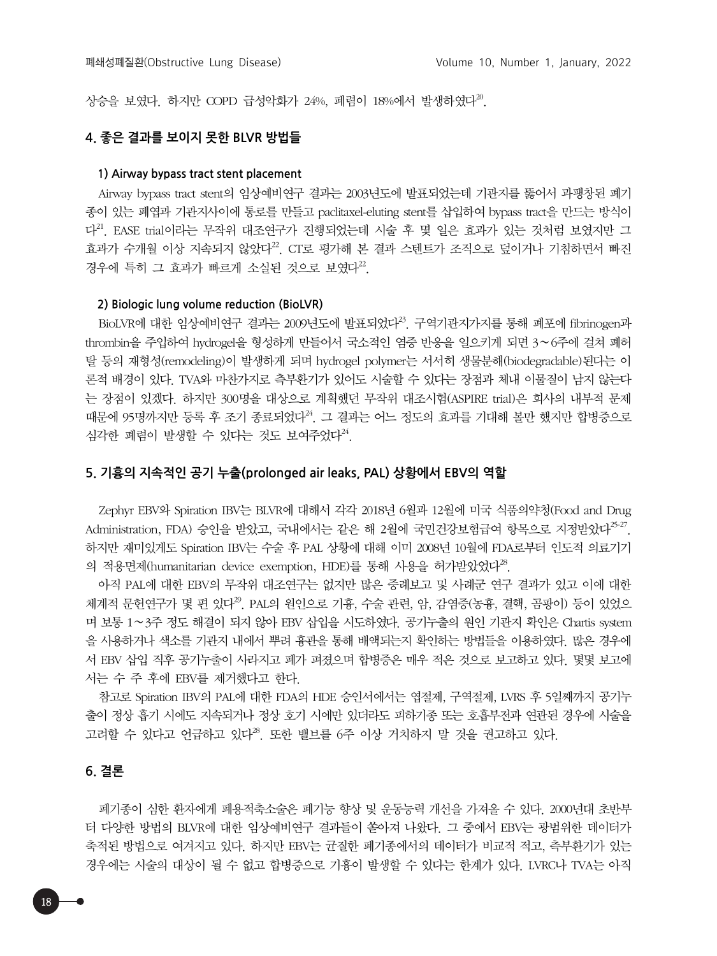상승을 보였다. 하지만 COPD 급성악화가 24%, 폐렴이 18%에서 발생하였다<sup>20</sup>.

## **4. 좋은 결과를 보이지 못한 BLVR 방법들**

#### **1) Airway bypass tract stent placement**

Airway bypass tract stent의 임상예비연구 결과는 2003년도에 발표되었는데 기관지를 뚫어서 과팽창된 폐기 종이 있는 폐엽과 기관지사이에 통로를 만들고 paclitaxel-eluting stent를 삽입하여 bypass tract을 만드는 방식이 다21. EASE trial이라는 무작위 대조연구가 진행되었는데 시술 후 몇 일은 효과가 있는 것처럼 보였지만 그 효과가 수개월 이상 지속되지 않았다<sup>22</sup>. CT로 평가해 본 결과 스텐트가 조직으로 덮이거나 기침하면서 빠진 경우에 특히 그 효과가 빠르게 소실된 것으로 보였다<sup>22</sup>.

## **2) Biologic lung volume reduction (BioLVR)**

BioLVR에 대한 임상예비연구 결과는 2009년도에 발표되었다 $^{23}$ . 구역기관지가지를 통해 폐포에 fibrinogen과 thrombin을 주입하여 hydrogel을 형성하게 만들어서 국소적인 염증 반응을 일으키게 되면 3∼6주에 걸쳐 폐허 탈 등의 재형성(remodeling)이 발생하게 되며 hydrogel polymer는 서서히 생물분해(biodegradable)된다는 이 론적 배경이 있다. TVA와 마찬가지로 측부환기가 있어도 시술할 수 있다는 장점과 체내 이물질이 남지 않는다 는 장점이 있겠다. 하지만 300명을 대상으로 계획했던 무작위 대조시험(ASPIRE trial)은 회사의 내부적 문제 때문에 95명까지만 등록 후 조기 종료되었다<sup>24</sup>. 그 결과는 어느 정도의 효과를 기대해 볼만 했지만 합병증으로 심각한 폐렴이 발생할 수 있다는 것도 보여주었다<sup>24</sup>.

#### **5. 기흉의 지속적인 공기 누출(prolonged air leaks, PAL) 상황에서 EBV의 역할**

Zephyr EBV와 Spiration IBV는 BLVR에 대해서 각각 2018년 6월과 12월에 미국 식품의약청(Food and Drug Administration, FDA) 승인을 받았고, 국내에서는 같은 해 2월에 국민건강보험급여 항목으로 지정받았다<sup>25-27</sup>. 하지만 재미있게도 Spiration IBV는 수술 후 PAL 상황에 대해 이미 2008년 10월에 FDA로부터 인도적 의료기기 의 적용면제(humanitarian device exemption, HDE)를 통해 사용을 허가받았었다 $^{28}$ .

아직 PAL에 대한 EBV의 무작위 대조연구는 없지만 많은 증례보고 및 사례군 연구 결과가 있고 이에 대한 체계적 문헌연구가 몇 편 있다<sup>29</sup>. PAL의 원인으로 기흉, 수술 관련, 암, 감염증(농흉, 결핵, 곰팡이) 등이 있었으 며 보통 1∼3주 정도 해결이 되지 않아 EBV 삽입을 시도하였다. 공기누출의 원인 기관지 확인은 Chartis system 을 사용하거나 색소를 기관지 내에서 뿌려 흉관을 통해 배액되는지 확인하는 방법들을 이용하였다. 많은 경우에 서 EBV 삽입 직후 공기누출이 사라지고 폐가 펴졌으며 합병증은 매우 적은 것으로 보고하고 있다. 몇몇 보고에 서는 수 주 후에 EBV를 제거했다고 한다.

참고로 Spiration IBV의 PAL에 대한 FDA의 HDE 승인서에서는 엽절제, 구역절제, LVRS 후 5일째까지 공기누 출이 정상 흡기 시에도 지속되거나 정상 호기 시에만 있더라도 피하기종 또는 호흡부전과 연관된 경우에 시술을 고려할 수 있다고 언급하고 있다<sup>28</sup>. 또한 밸브를 6주 이상 거치하지 말 것을 권고하고 있다.

#### **6. 결론**

폐기종이 심한 환자에게 폐용적축소술은 폐기능 향상 및 운동능력 개선을 가져올 수 있다. 2000년대 초반부 터 다양한 방법의 BLVR에 대한 임상예비연구 결과들이 쏟아져 나왔다. 그 중에서 EBV는 광범위한 데이터가 축적된 방법으로 여겨지고 있다. 하지만 EBV는 균질한 폐기종에서의 데이터가 비교적 적고, 측부환기가 있는 경우에는 시술의 대상이 될 수 없고 합병증으로 기흉이 발생할 수 있다는 한계가 있다. LVRC나 TVA는 아직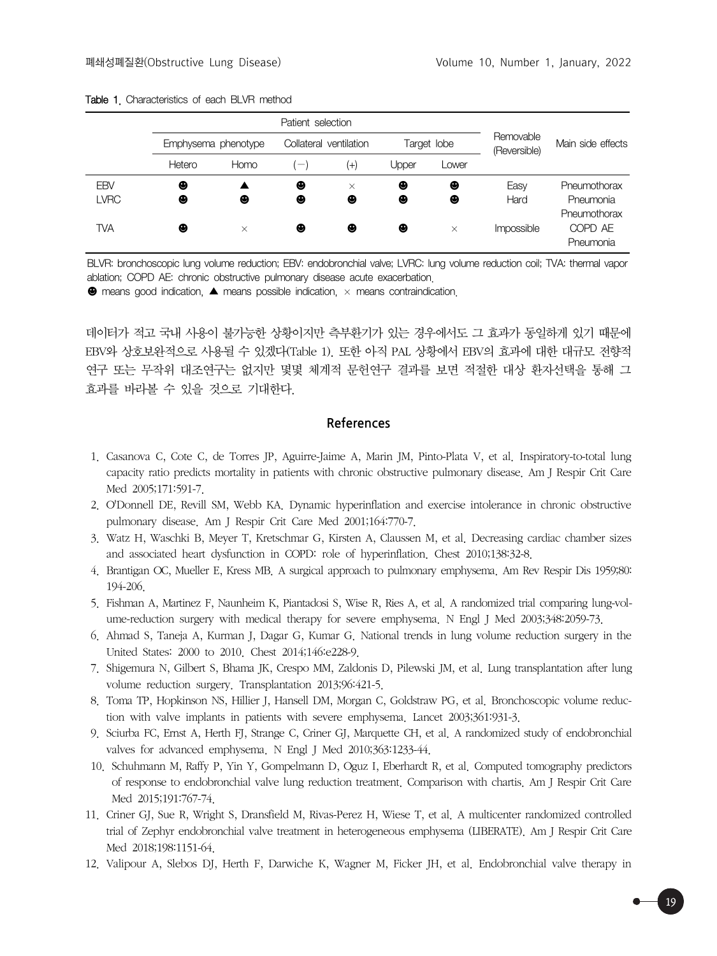|                           | Emphysema phenotype |          | Collateral ventilation         |               | Target lobe |          | Removable<br>(Reversible) | Main side effects                    |
|---------------------------|---------------------|----------|--------------------------------|---------------|-------------|----------|---------------------------|--------------------------------------|
|                           | Hetero              | Homo     | $\qquad \qquad \longleftarrow$ | $^{(+)}$      | Jpper       | Lower    |                           |                                      |
| <b>EBV</b><br><b>LVRC</b> | ❸<br>❸              | ❸        | ❸<br>❸                         | $\times$<br>❸ | ❸<br>❸      | ❸<br>❸   | Easy<br>Hard              | Pneumothorax<br>Pneumonia            |
| TVA                       | ❸                   | $\times$ | ❸                              | ❸             | ❸           | $\times$ | Impossible                | Pneumothorax<br>COPD AE<br>Pneumonia |

|  |  | <b>Table 1.</b> Characteristics of each BLVR method |  |  |  |  |
|--|--|-----------------------------------------------------|--|--|--|--|
|--|--|-----------------------------------------------------|--|--|--|--|

BLVR: bronchoscopic lung volume reduction; EBV: endobronchial valve; LVRC: lung volume reduction coil; TVA: thermal vapor ablation; COPD AE: chronic obstructive pulmonary disease acute exacerbation.

 $\bullet$  means good indication,  $\blacktriangle$  means possible indication,  $\times$  means contraindication.

데이터가 적고 국내 사용이 불가능한 상황이지만 측부환기가 있는 경우에서도 그 효과가 동일하게 있기 때문에 EBV와 상호보완적으로 사용될 수 있겠다(Table 1). 또한 아직 PAL 상황에서 EBV의 효과에 대한 대규모 전향적 연구 또는 무작위 대조연구는 없지만 몇몇 체계적 문헌연구 결과를 보면 적절한 대상 환자선택을 통해 그 효과를 바라볼 수 있을 것으로 기대한다.

### **References**

- 1. Casanova C, Cote C, de Torres JP, Aguirre-Jaime A, Marin JM, Pinto-Plata V, et al. Inspiratory-to-total lung capacity ratio predicts mortality in patients with chronic obstructive pulmonary disease. Am J Respir Crit Care Med 2005;171:591-7.
- 2. O'Donnell DE, Revill SM, Webb KA. Dynamic hyperinflation and exercise intolerance in chronic obstructive pulmonary disease. Am J Respir Crit Care Med 2001;164:770-7.
- 3. Watz H, Waschki B, Meyer T, Kretschmar G, Kirsten A, Claussen M, et al. Decreasing cardiac chamber sizes and associated heart dysfunction in COPD: role of hyperinflation. Chest 2010;138:32-8.
- 4. Brantigan OC, Mueller E, Kress MB. A surgical approach to pulmonary emphysema. Am Rev Respir Dis 1959;80: 194-206.
- 5. Fishman A, Martinez F, Naunheim K, Piantadosi S, Wise R, Ries A, et al. A randomized trial comparing lung-volume-reduction surgery with medical therapy for severe emphysema. N Engl J Med 2003;348:2059-73.
- 6. Ahmad S, Taneja A, Kurman J, Dagar G, Kumar G. National trends in lung volume reduction surgery in the United States: 2000 to 2010. Chest 2014;146:e228-9.
- 7. Shigemura N, Gilbert S, Bhama JK, Crespo MM, Zaldonis D, Pilewski JM, et al. Lung transplantation after lung volume reduction surgery. Transplantation 2013;96:421-5.
- 8. Toma TP, Hopkinson NS, Hillier J, Hansell DM, Morgan C, Goldstraw PG, et al. Bronchoscopic volume reduction with valve implants in patients with severe emphysema. Lancet 2003;361:931-3.
- 9. Sciurba FC, Ernst A, Herth FJ, Strange C, Criner GJ, Marquette CH, et al. A randomized study of endobronchial valves for advanced emphysema. N Engl J Med 2010;363:1233-44.
- 10. Schuhmann M, Raffy P, Yin Y, Gompelmann D, Oguz I, Eberhardt R, et al. Computed tomography predictors of response to endobronchial valve lung reduction treatment. Comparison with chartis. Am J Respir Crit Care Med 2015;191:767-74.
- 11. Criner GJ, Sue R, Wright S, Dransfield M, Rivas-Perez H, Wiese T, et al. A multicenter randomized controlled trial of Zephyr endobronchial valve treatment in heterogeneous emphysema (LIBERATE). Am J Respir Crit Care Med 2018;198:1151-64.
- 12. Valipour A, Slebos DJ, Herth F, Darwiche K, Wagner M, Ficker JH, et al. Endobronchial valve therapy in